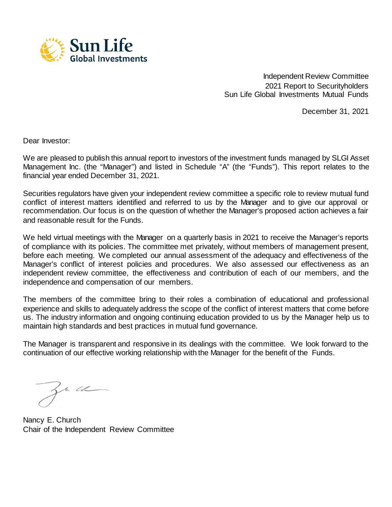

Independent Review Committee 2021 Report to Securityholders Sun Life Global Investments Mutual Funds

December 31, 2021

Dear Investor:

We are pleased to publish this annual report to investors of the investment funds managed by SLGI Asset Management Inc. (the "Manager") and listed in Schedule "A" (the "Funds"). This report relates to the financial year ended December 31, 2021.

Securities regulators have given your independent review committee a specific role to review mutual fund conflict of interest matters identified and referred to us by the Manager and to give our approval or recommendation. Our focus is on the question of whether the Manager's proposed action achieves a fair and reasonable result for the Funds.

We held virtual meetings with the Manager on a quarterly basis in 2021 to receive the Manager's reports of compliance with its policies. The committee met privately, without members of management present, before each meeting. We completed our annual assessment of the adequacy and effectiveness of the Manager's conflict of interest policies and procedures. We also assessed our effectiveness as an independent review committee, the effectiveness and contribution of each of our members, and the independence and compensation of our members.

The members of the committee bring to their roles a combination of educational and professional experience and skills to adequately address the scope of the conflict of interest matters that come before us. The industry information and ongoing continuing education provided to us by the Manager help us to maintain high standards and best practices in mutual fund governance.

The Manager is transparent and responsive in its dealings with the committee. We look forward to the continuation of our effective working relationship with the Manager for the benefit of the Funds.

zr ce

Nancy E. Church Chair of the Independent Review Committee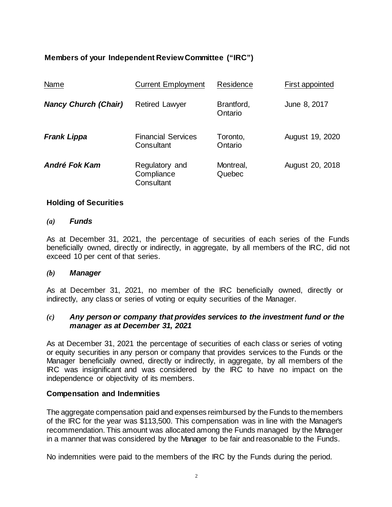# **Members of your Independent Review Committee ("IRC")**

| Name                        | <b>Current Employment</b>                  | Residence             | First appointed |
|-----------------------------|--------------------------------------------|-----------------------|-----------------|
| <b>Nancy Church (Chair)</b> | <b>Retired Lawyer</b>                      | Brantford,<br>Ontario | June 8, 2017    |
| <b>Frank Lippa</b>          | <b>Financial Services</b><br>Consultant    | Toronto,<br>Ontario   | August 19, 2020 |
| André Fok Kam               | Regulatory and<br>Compliance<br>Consultant | Montreal,<br>Quebec   | August 20, 2018 |

## **Holding of Securities**

### *(a) Funds*

As at December 31, 2021, the percentage of securities of each series of the Funds beneficially owned, directly or indirectly, in aggregate, by all members of the IRC, did not exceed 10 per cent of that series.

### *(b) Manager*

As at December 31, 2021, no member of the IRC beneficially owned, directly or indirectly, any class or series of voting or equity securities of the Manager.

### *(c) Any person or company that provides services to the investment fund or the manager as at December 31, 2021*

As at December 31, 2021 the percentage of securities of each class or series of voting or equity securities in any person or company that provides services to the Funds or the Manager beneficially owned, directly or indirectly, in aggregate, by all members of the IRC was insignificant and was considered by the IRC to have no impact on the independence or objectivity of its members.

### **Compensation and Indemnities**

The aggregate compensation paid and expenses reimbursed by the Funds to themembers of the IRC for the year was \$113,500. This compensation was in line with the Manager's recommendation. This amount was allocated among the Funds managed by the Manager in a manner that was considered by the Manager to be fair and reasonable to the Funds.

No indemnities were paid to the members of the IRC by the Funds during the period.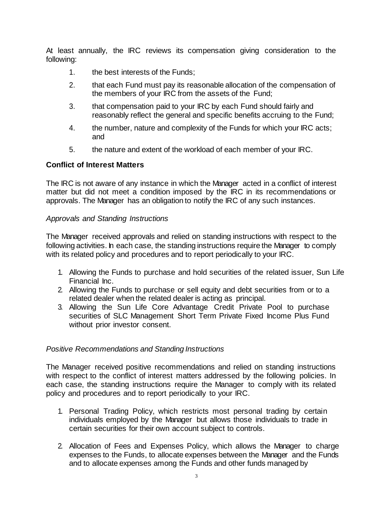At least annually, the IRC reviews its compensation giving consideration to the following:

- 1. the best interests of the Funds;
- 2. that each Fund must pay its reasonable allocation of the compensation of the members of your IRC from the assets of the Fund;
- 3. that compensation paid to your IRC by each Fund should fairly and reasonably reflect the general and specific benefits accruing to the Fund;
- 4. the number, nature and complexity of the Funds for which your IRC acts; and
- 5. the nature and extent of the workload of each member of your IRC.

## **Conflict of Interest Matters**

The IRC is not aware of any instance in which the Manager acted in a conflict of interest matter but did not meet a condition imposed by the IRC in its recommendations or approvals. The Manager has an obligation to notify the IRC of any such instances.

## *Approvals and Standing Instructions*

The Manager received approvals and relied on standing instructions with respect to the following activities. In each case, the standing instructions require the Manager to comply with its related policy and procedures and to report periodically to your IRC.

- 1. Allowing the Funds to purchase and hold securities of the related issuer, Sun Life Financial Inc.
- 2. Allowing the Funds to purchase or sell equity and debt securities from or to a related dealer when the related dealer is acting as principal.
- 3. Allowing the Sun Life Core Advantage Credit Private Pool to purchase securities of SLC Management Short Term Private Fixed Income Plus Fund without prior investor consent.

## *Positive Recommendations and Standing Instructions*

The Manager received positive recommendations and relied on standing instructions with respect to the conflict of interest matters addressed by the following policies. In each case, the standing instructions require the Manager to comply with its related policy and procedures and to report periodically to your IRC.

- 1. Personal Trading Policy, which restricts most personal trading by certain individuals employed by the Manager but allows those individuals to trade in certain securities for their own account subject to controls.
- 2. Allocation of Fees and Expenses Policy, which allows the Manager to charge expenses to the Funds, to allocate expenses between the Manager and the Funds and to allocate expenses among the Funds and other funds managed by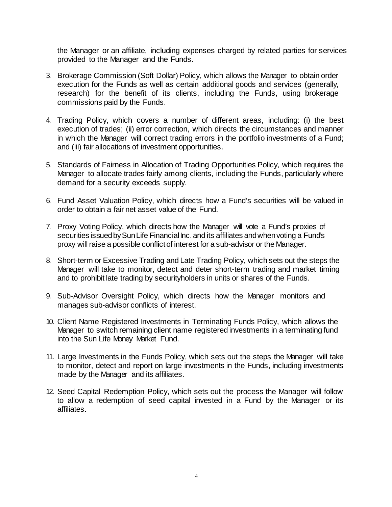the Manager or an affiliate, including expenses charged by related parties for services provided to the Manager and the Funds.

- 3. Brokerage Commission (Soft Dollar) Policy, which allows the Manager to obtain order execution for the Funds as well as certain additional goods and services (generally, research) for the benefit of its clients, including the Funds, using brokerage commissions paid by the Funds.
- 4. Trading Policy, which covers a number of different areas, including: (i) the best execution of trades; (ii) error correction, which directs the circumstances and manner in which the Manager will correct trading errors in the portfolio investments of a Fund; and (iii) fair allocations of investment opportunities.
- 5. Standards of Fairness in Allocation of Trading Opportunities Policy, which requires the Manager to allocate trades fairly among clients, including the Funds, particularly where demand for a security exceeds supply.
- 6. Fund Asset Valuation Policy, which directs how a Fund's securities will be valued in order to obtain a fair net asset value of the Fund.
- 7. Proxy Voting Policy, which directs how the Manager will vote a Fund's proxies of securities issued by Sun Life Financial Inc. and its affiliates and when voting a Fund's proxy will raise a possible conflict of interest for a sub-advisor or the Manager.
- 8. Short-term or Excessive Trading and Late Trading Policy, which sets out the steps the Manager will take to monitor, detect and deter short-term trading and market timing and to prohibit late trading by securityholders in units or shares of the Funds.
- 9. Sub-Advisor Oversight Policy, which directs how the Manager monitors and manages sub-advisor conflicts of interest.
- 10. Client Name Registered Investments in Terminating Funds Policy, which allows the Manager to switch remaining client name registered investments in a terminating fund into the Sun Life Money Market Fund.
- 11. Large Investments in the Funds Policy, which sets out the steps the Manager will take to monitor, detect and report on large investments in the Funds, including investments made by the Manager and its affiliates.
- 12. Seed Capital Redemption Policy, which sets out the process the Manager will follow to allow a redemption of seed capital invested in a Fund by the Manager or its affiliates.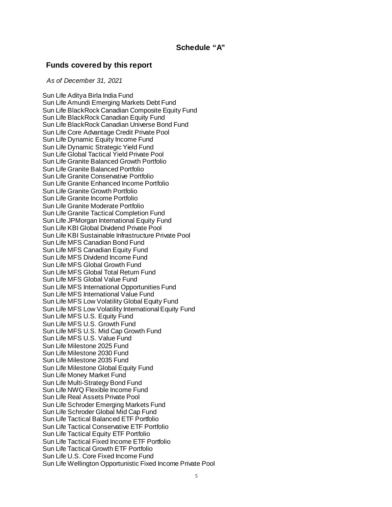#### **Schedule "A"**

#### **Funds covered by this report**

*As of December 31, 2021*

[Sun Life Aditya Birla India Fund](javascript:;) [Sun Life Amundi Emerging Markets Debt Fund](javascript:;) Sun Life BlackRock Canadian Composite Equity Fund [Sun Life BlackRock Canadian Equity Fund](javascript:;) Sun Life BlackRock Canadian Universe Bond Fund [Sun Life Core Advantage Credit Private Pool](javascript:;) Sun Life Dynamic [Equity Income Fund](javascript:;) [Sun Life Dynamic Strategic Yield Fund](javascript:;) [Sun Life Global Tactical Yield Private Pool](javascript:;) [Sun Life Granite Balanced Growth Portfolio](javascript:;) [Sun Life Granite Balanced Portfolio](javascript:;) [Sun Life Granite Conservative Portfolio](javascript:;) [Sun Life Granite Enhanced Income Portfolio](javascript:;) [Sun Life Granite Growth Portfolio](javascript:;) [Sun Life Granite Income Portfolio](javascript:;) [Sun Life Granite Moderate Portfolio](javascript:;) Sun Life Granite Tactical Completion Fund [Sun Life JPMorgan International Equity Fund](javascript:;) [Sun Life KBI Global Dividend Private Pool](javascript:;) Sun Life KBI Sustainable Infrastructure Private Pool [Sun Life MFS Canadian Bond Fund](javascript:;) [Sun Life MFS Canadian Equity Fund](javascript:;) [Sun Life MFS Dividend Income Fund](javascript:;) [Sun Life MFS Global Growth Fund](javascript:;) [Sun Life MFS Global Total Return Fund](javascript:;) [Sun Life MFS Global Value Fund](javascript:;) [Sun Life MFS International Opportunities Fund](javascript:;) [Sun Life MFS International Value Fund](javascript:;) [Sun Life MFS Low Volatility Global Equity Fund](javascript:;) [Sun Life MFS Low Volatility International Equity Fund](javascript:;) [Sun Life MFS U.S. Equity Fund](javascript:;) [Sun Life MFS U.S. Growth Fund](javascript:;) Sun Life MFS U.S. Mid Cap Growth Fund [Sun Life MFS U.S. Value Fund](javascript:;) [Sun Life Milestone 2025 Fund](javascript:;) [Sun Life Milestone 2030 Fund](javascript:;) [Sun Life Milestone 2035 Fund](javascript:;) [Sun Life Milestone Global Equity Fund](javascript:;) [Sun Life Money Market Fund](javascript:;) [Sun Life Multi-Strategy Bond Fund](javascript:;) [Sun Life NWQ Flexible Income Fund](javascript:;) [Sun Life Real Assets Private Pool](javascript:;) [Sun Life Schroder Emerging Markets Fund](javascript:;) [Sun Life Schroder Global Mid Cap Fund](javascript:;) [Sun Life Tactical Balanced ETF Portfolio](javascript:;) [Sun Life Tactical Conservative ETF](javascript:;) Portfolio [Sun Life Tactical Equity ETF Portfolio](javascript:;) [Sun Life Tactical Fixed Income ETF Portfolio](javascript:;) [Sun Life Tactical Growth ETF Portfolio](javascript:;) Sun Life U.S. Core Fixed Income Fund [Sun Life Wellington Opportunistic Fixed Income Private Pool](javascript:;)